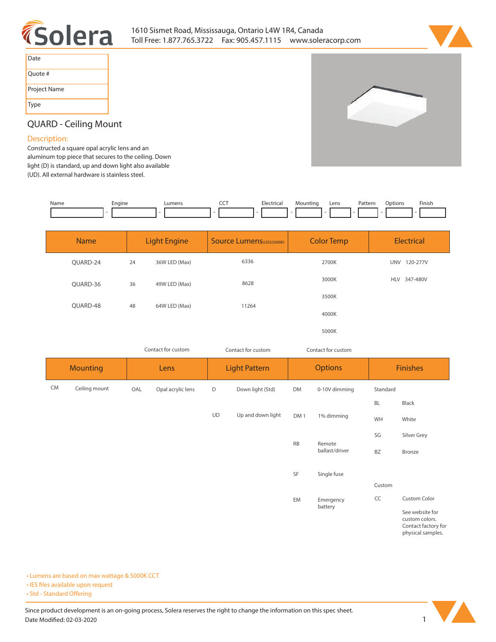



| Date         |
|--------------|
| Quote #      |
| Project Name |
| Type         |

## **QUARD - Ceiling Mount**

## **Description:**

**Constructed a square opal acrylic lens and an aluminum top piece that secures to the ceiling. Down light (D) is standard, up and down light also available (UD). All external hardware is stainless steel.** 

| Name | chaine | umens! | --- | Electrical | Mountino | Lens | Pattern | :Jption | Finish |
|------|--------|--------|-----|------------|----------|------|---------|---------|--------|
|      |        |        |     |            |          |      |         |         |        |

| <b>Name</b> | <b>Light Engine</b> |               | <b>Source Lumens</b> (LED)(5000K) | <b>Color Temp</b> | <b>Electrical</b>      |  |
|-------------|---------------------|---------------|-----------------------------------|-------------------|------------------------|--|
| OUARD-24    | 24                  | 36W LED (Max) | 6336                              | 2700K             | <b>UNV</b><br>120-277V |  |
| OUARD-36    | 36                  | 49W LED (Max) | 8628                              | 3000K             | 347-480V<br><b>HLV</b> |  |
| OUARD-48    | 48                  | 64W LED (Max) | 11264                             | 3500K             |                        |  |
|             |                     |               | 4000K                             |                   |                        |  |
|             |                     |               |                                   | 5000K             |                        |  |

*Contact for custom Contact for custom*

*Contact for custom*

| <b>Mounting</b> |               | Lens |                   | <b>Light Pattern</b> |                   | <b>Options</b>  |                          | <b>Finishes</b> |                                                                               |
|-----------------|---------------|------|-------------------|----------------------|-------------------|-----------------|--------------------------|-----------------|-------------------------------------------------------------------------------|
| <b>CM</b>       | Ceiling mount | OAL  | Opal acrylic lens | D                    | Down light (Std)  | DM              | 0-10V dimming            | Standard        |                                                                               |
|                 |               |      |                   |                      |                   |                 |                          | BL              | Black                                                                         |
|                 |               |      |                   | UD                   | Up and down light | DM <sub>1</sub> | 1% dimming               | WH              | White                                                                         |
|                 |               |      |                   |                      |                   | RB              |                          | SG              | Silver Grey                                                                   |
|                 |               |      |                   |                      |                   |                 | Remote<br>ballast/driver | BZ              | Bronze                                                                        |
|                 |               |      |                   |                      |                   | SF              | Single fuse              |                 |                                                                               |
|                 |               |      |                   |                      |                   |                 |                          | Custom          |                                                                               |
|                 |               |      |                   |                      |                   | EM              | Emergency<br>battery     | CC              | Custom Color                                                                  |
|                 |               |      |                   |                      |                   |                 |                          |                 | See website for<br>custom colors.<br>Contact factory for<br>physical samples. |

**• Lumens are based on max wattage & 5000K CCT**

**• IES files available upon request** 

• Std - Standard Offering